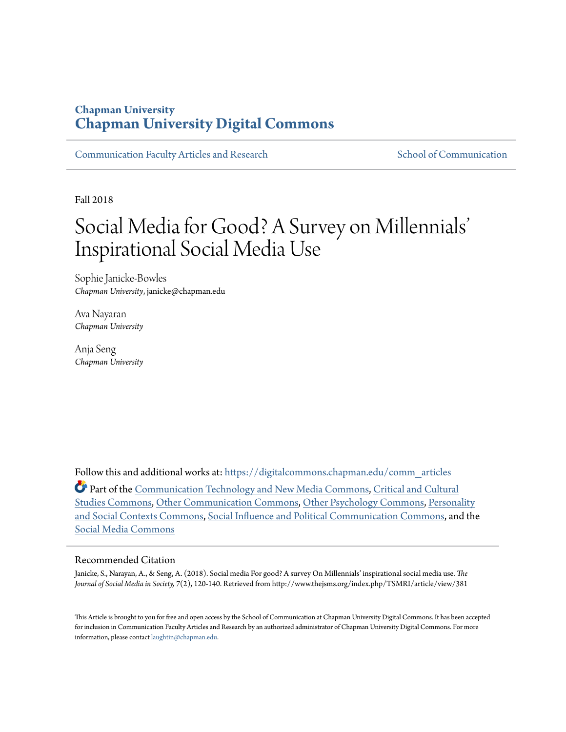# **Chapman University [Chapman University Digital Commons](https://digitalcommons.chapman.edu?utm_source=digitalcommons.chapman.edu%2Fcomm_articles%2F57&utm_medium=PDF&utm_campaign=PDFCoverPages)**

[Communication Faculty Articles and Research](https://digitalcommons.chapman.edu/comm_articles?utm_source=digitalcommons.chapman.edu%2Fcomm_articles%2F57&utm_medium=PDF&utm_campaign=PDFCoverPages) [School of Communication](https://digitalcommons.chapman.edu/communication?utm_source=digitalcommons.chapman.edu%2Fcomm_articles%2F57&utm_medium=PDF&utm_campaign=PDFCoverPages)

Fall 2018

# Social Media for Good? A Survey on Millennials ' Inspirational Social Media Use

Sophie Janicke-Bowles *Chapman University*, janicke@chapman.edu

Ava Nayaran *Chapman University*

Anja Seng *Chapman University*

Follow this and additional works at: [https://digitalcommons.chapman.edu/comm\\_articles](https://digitalcommons.chapman.edu/comm_articles?utm_source=digitalcommons.chapman.edu%2Fcomm_articles%2F57&utm_medium=PDF&utm_campaign=PDFCoverPages) Part of the [Communication Technology and New Media Commons](http://network.bepress.com/hgg/discipline/327?utm_source=digitalcommons.chapman.edu%2Fcomm_articles%2F57&utm_medium=PDF&utm_campaign=PDFCoverPages), [Critical and Cultural](http://network.bepress.com/hgg/discipline/328?utm_source=digitalcommons.chapman.edu%2Fcomm_articles%2F57&utm_medium=PDF&utm_campaign=PDFCoverPages)

[Studies Commons](http://network.bepress.com/hgg/discipline/328?utm_source=digitalcommons.chapman.edu%2Fcomm_articles%2F57&utm_medium=PDF&utm_campaign=PDFCoverPages), [Other Communication Commons,](http://network.bepress.com/hgg/discipline/339?utm_source=digitalcommons.chapman.edu%2Fcomm_articles%2F57&utm_medium=PDF&utm_campaign=PDFCoverPages) [Other Psychology Commons,](http://network.bepress.com/hgg/discipline/415?utm_source=digitalcommons.chapman.edu%2Fcomm_articles%2F57&utm_medium=PDF&utm_campaign=PDFCoverPages) [Personality](http://network.bepress.com/hgg/discipline/413?utm_source=digitalcommons.chapman.edu%2Fcomm_articles%2F57&utm_medium=PDF&utm_campaign=PDFCoverPages) [and Social Contexts Commons](http://network.bepress.com/hgg/discipline/413?utm_source=digitalcommons.chapman.edu%2Fcomm_articles%2F57&utm_medium=PDF&utm_campaign=PDFCoverPages), [Social Influence and Political Communication Commons,](http://network.bepress.com/hgg/discipline/337?utm_source=digitalcommons.chapman.edu%2Fcomm_articles%2F57&utm_medium=PDF&utm_campaign=PDFCoverPages) and the [Social Media Commons](http://network.bepress.com/hgg/discipline/1249?utm_source=digitalcommons.chapman.edu%2Fcomm_articles%2F57&utm_medium=PDF&utm_campaign=PDFCoverPages)

#### Recommended Citation

Janicke, S., Narayan, A., & Seng, A. (2018). Social media For good? A survey On Millennials' inspirational social media use. *The Journal of Social Media in Society, 7*(2), 120-140. Retrieved from http://www.thejsms.org/index.php/TSMRI/article/view/381

This Article is brought to you for free and open access by the School of Communication at Chapman University Digital Commons. It has been accepted for inclusion in Communication Faculty Articles and Research by an authorized administrator of Chapman University Digital Commons. For more information, please contact [laughtin@chapman.edu](mailto:laughtin@chapman.edu).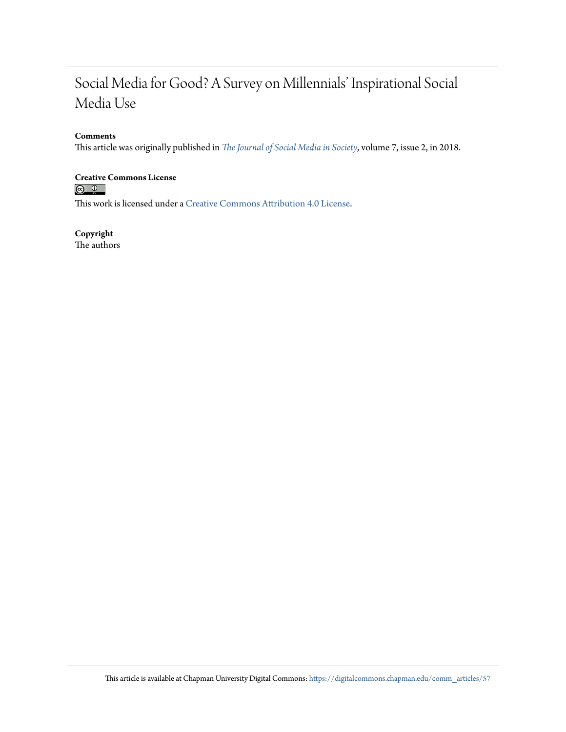# Social Media for Good? A Survey on Millennials' Inspirational Social Media Use

#### **Comments**

This article was originally published in *[The Journal of Social Media in Society](http://www.thejsms.org/index.php/TSMRI/article/view/381)*, volume 7, issue 2, in 2018.

# **Creative Commons License**<br> **<b>a 0**<br> **a 0**

This work is licensed under a [Creative Commons Attribution 4.0 License.](https://creativecommons.org/licenses/by/4.0/)

**Copyright** The authors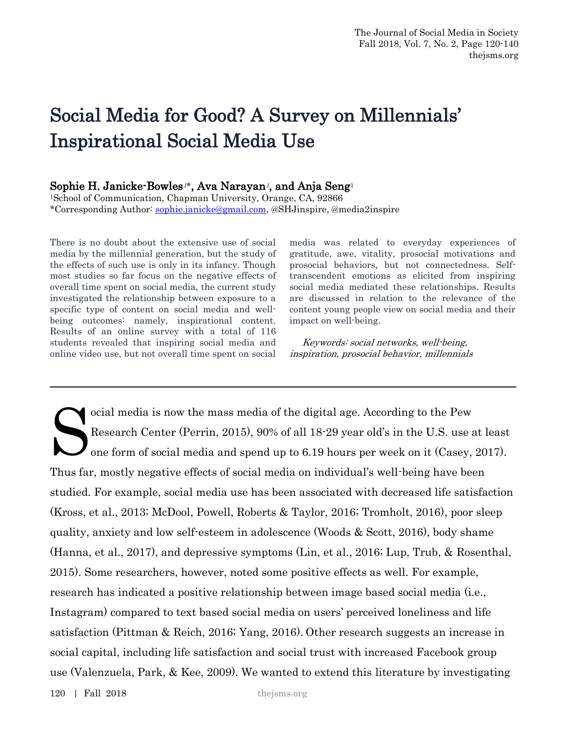# Social Media for Good? A Survey on Millennials' Inspirational Social Media Use

#### Sophie H. Janicke-Bowles<sup>1\*</sup>, Ava Narayan<sup>1</sup>, and Anja Seng<sup>1</sup>

<sup>1</sup>School of Communication, Chapman University, Orange, CA, 92866 \*Corresponding Author: [sophie.janicke@gmail.com,](mailto:sophie.janicke@gmail.com) @SHJinspire, @media2inspire

There is no doubt about the extensive use of social media by the millennial generation, but the study of the effects of such use is only in its infancy. Though most studies so far focus on the negative effects of overall time spent on social media, the current study investigated the relationship between exposure to a specific type of content on social media and wellbeing outcomes: namely, inspirational content. Results of an online survey with a total of 116 students revealed that inspiring social media and online video use, but not overall time spent on social

media was related to everyday experiences of gratitude, awe, vitality, prosocial motivations and prosocial behaviors, but not connectedness. Selftranscendent emotions as elicited from inspiring social media mediated these relationships. Results are discussed in relation to the relevance of the content young people view on social media and their impact on well-being.

 Keywords: social networks, well-being, inspiration, prosocial behavior, millennials

ocial media is now the mass media of the digital age. According to the Pew Research Center (Perrin, 2015), 90% of all 18-29 year old's in the U.S. use at least one form of social media and spend up to 6.19 hours per week on it (Casey, 2017). Thus far, mostly negative effects of social media on individual's well-being have been studied. For example, social media use has been associated with decreased life satisfaction (Kross, et al., 2013; McDool, Powell, Roberts & Taylor, 2016; Tromholt, 2016), poor sleep quality, anxiety and low self-esteem in adolescence (Woods & Scott, 2016), body shame (Hanna, et al., 2017), and depressive symptoms (Lin, et al., 2016; Lup, Trub, & Rosenthal, 2015). Some researchers, however, noted some positive effects as well. For example, research has indicated a positive relationship between image based social media (i.e., Instagram) compared to text based social media on users' perceived loneliness and life satisfaction (Pittman & Reich, 2016; Yang, 2016). Other research suggests an increase in social capital, including life satisfaction and social trust with increased Facebook group use (Valenzuela, Park, & Kee, 2009). We wanted to extend this literature by investigating S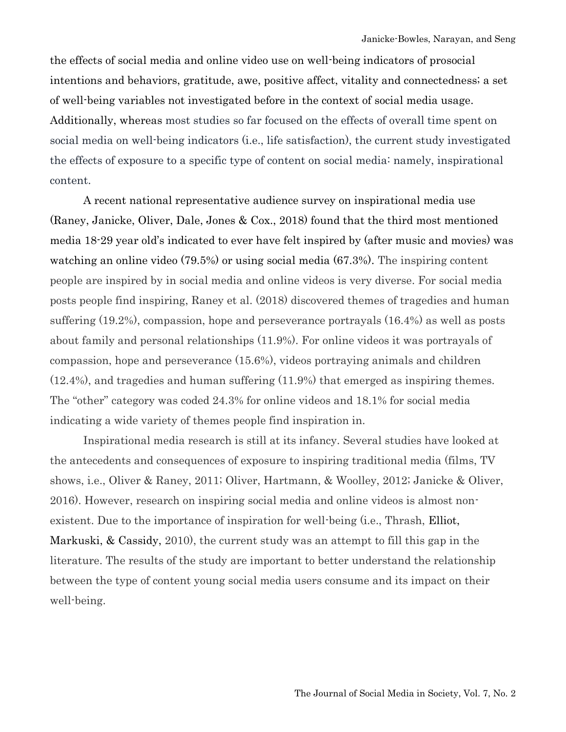the effects of social media and online video use on well-being indicators of prosocial intentions and behaviors, gratitude, awe, positive affect, vitality and connectedness; a set of well-being variables not investigated before in the context of social media usage. Additionally, whereas most studies so far focused on the effects of overall time spent on social media on well-being indicators (i.e., life satisfaction), the current study investigated the effects of exposure to a specific type of content on social media: namely, inspirational content.

A recent national representative audience survey on inspirational media use (Raney, Janicke, Oliver, Dale, Jones & Cox., 2018) found that the third most mentioned media 18-29 year old's indicated to ever have felt inspired by (after music and movies) was watching an online video (79.5%) or using social media (67.3%). The inspiring content people are inspired by in social media and online videos is very diverse. For social media posts people find inspiring, Raney et al. (2018) discovered themes of tragedies and human suffering (19.2%), compassion, hope and perseverance portrayals (16.4%) as well as posts about family and personal relationships (11.9%). For online videos it was portrayals of compassion, hope and perseverance (15.6%), videos portraying animals and children (12.4%), and tragedies and human suffering (11.9%) that emerged as inspiring themes. The "other" category was coded 24.3% for online videos and 18.1% for social media indicating a wide variety of themes people find inspiration in.

Inspirational media research is still at its infancy. Several studies have looked at the antecedents and consequences of exposure to inspiring traditional media (films, TV shows, i.e., Oliver & Raney, 2011; Oliver, Hartmann, & Woolley, 2012; Janicke & Oliver, 2016). However, research on inspiring social media and online videos is almost nonexistent. Due to the importance of inspiration for well-being (i.e., Thrash, Elliot, Markuski, & Cassidy, 2010), the current study was an attempt to fill this gap in the literature. The results of the study are important to better understand the relationship between the type of content young social media users consume and its impact on their well-being.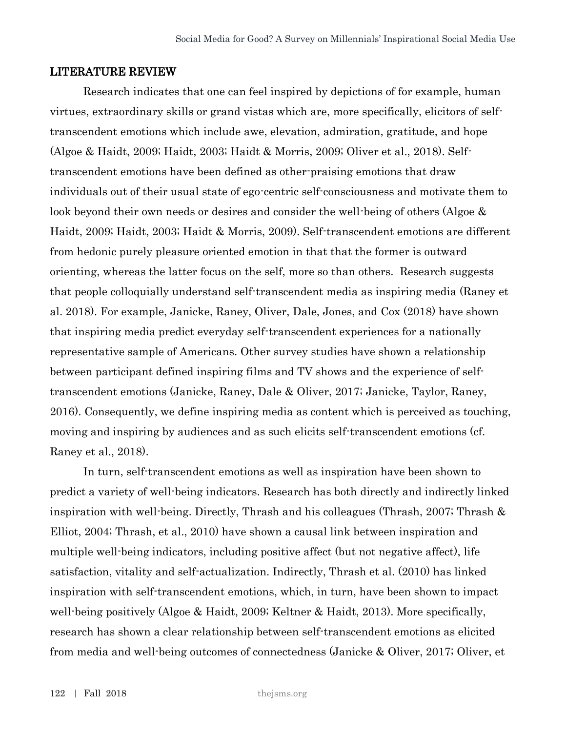#### LITERATURE REVIEW

Research indicates that one can feel inspired by depictions of for example, human virtues, extraordinary skills or grand vistas which are, more specifically, elicitors of selftranscendent emotions which include awe, elevation, admiration, gratitude, and hope (Algoe & Haidt, 2009; Haidt, 2003; Haidt & Morris, 2009; Oliver et al., 2018). Selftranscendent emotions have been defined as other-praising emotions that draw individuals out of their usual state of ego-centric self-consciousness and motivate them to look beyond their own needs or desires and consider the well-being of others (Algoe & Haidt, 2009; Haidt, 2003; Haidt & Morris, 2009). Self-transcendent emotions are different from hedonic purely pleasure oriented emotion in that that the former is outward orienting, whereas the latter focus on the self, more so than others. Research suggests that people colloquially understand self-transcendent media as inspiring media (Raney et al. 2018). For example, Janicke, Raney, Oliver, Dale, Jones, and Cox (2018) have shown that inspiring media predict everyday self-transcendent experiences for a nationally representative sample of Americans. Other survey studies have shown a relationship between participant defined inspiring films and TV shows and the experience of selftranscendent emotions (Janicke, Raney, Dale & Oliver, 2017; Janicke, Taylor, Raney, 2016). Consequently, we define inspiring media as content which is perceived as touching, moving and inspiring by audiences and as such elicits self-transcendent emotions (cf. Raney et al., 2018).

In turn, self-transcendent emotions as well as inspiration have been shown to predict a variety of well-being indicators. Research has both directly and indirectly linked inspiration with well-being. Directly, Thrash and his colleagues (Thrash, 2007; Thrash & Elliot, 2004; Thrash, et al., 2010) have shown a causal link between inspiration and multiple well-being indicators, including positive affect (but not negative affect), life satisfaction, vitality and self-actualization. Indirectly, Thrash et al. (2010) has linked inspiration with self-transcendent emotions, which, in turn, have been shown to impact well-being positively (Algoe & Haidt, 2009; Keltner & Haidt, 2013). More specifically, research has shown a clear relationship between self-transcendent emotions as elicited from media and well-being outcomes of connectedness (Janicke & Oliver, 2017; Oliver, et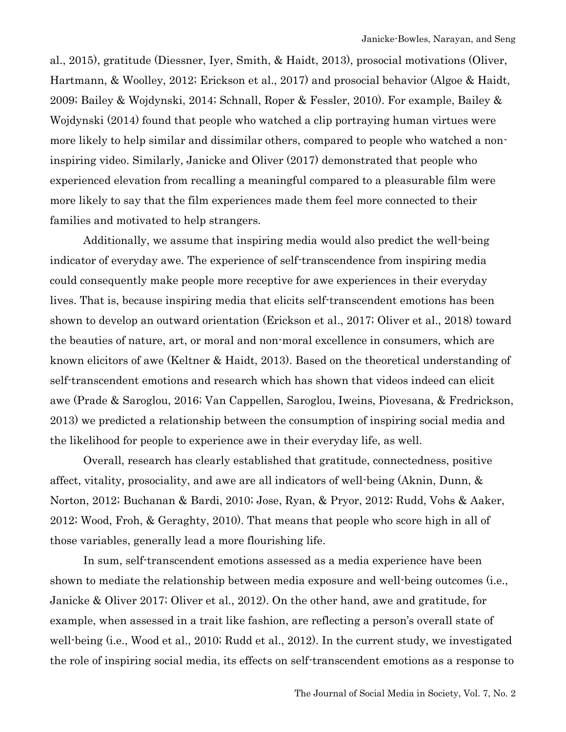al., 2015), gratitude (Diessner, Iyer, Smith, & Haidt, 2013), prosocial motivations (Oliver, Hartmann, & Woolley, 2012; Erickson et al., 2017) and prosocial behavior (Algoe & Haidt, 2009; Bailey & Wojdynski, 2014; Schnall, Roper & Fessler, 2010). For example, Bailey & Wojdynski (2014) found that people who watched a clip portraying human virtues were more likely to help similar and dissimilar others, compared to people who watched a noninspiring video. Similarly, Janicke and Oliver (2017) demonstrated that people who experienced elevation from recalling a meaningful compared to a pleasurable film were more likely to say that the film experiences made them feel more connected to their families and motivated to help strangers.

Additionally, we assume that inspiring media would also predict the well-being indicator of everyday awe. The experience of self-transcendence from inspiring media could consequently make people more receptive for awe experiences in their everyday lives. That is, because inspiring media that elicits self-transcendent emotions has been shown to develop an outward orientation (Erickson et al., 2017; Oliver et al., 2018) toward the beauties of nature, art, or moral and non-moral excellence in consumers, which are known elicitors of awe (Keltner & Haidt, 2013). Based on the theoretical understanding of self-transcendent emotions and research which has shown that videos indeed can elicit awe (Prade & Saroglou, 2016; Van Cappellen, Saroglou, Iweins, Piovesana, & Fredrickson, 2013) we predicted a relationship between the consumption of inspiring social media and the likelihood for people to experience awe in their everyday life, as well.

Overall, research has clearly established that gratitude, connectedness, positive affect, vitality, prosociality, and awe are all indicators of well-being (Aknin, Dunn, & Norton, 2012; Buchanan & Bardi, 2010; Jose, Ryan, & Pryor, 2012; Rudd, Vohs & Aaker, 2012; Wood, Froh, & Geraghty, 2010). That means that people who score high in all of those variables, generally lead a more flourishing life.

In sum, self-transcendent emotions assessed as a media experience have been shown to mediate the relationship between media exposure and well-being outcomes (i.e., Janicke & Oliver 2017; Oliver et al., 2012). On the other hand, awe and gratitude, for example, when assessed in a trait like fashion, are reflecting a person's overall state of well-being (i.e., Wood et al., 2010; Rudd et al., 2012). In the current study, we investigated the role of inspiring social media, its effects on self-transcendent emotions as a response to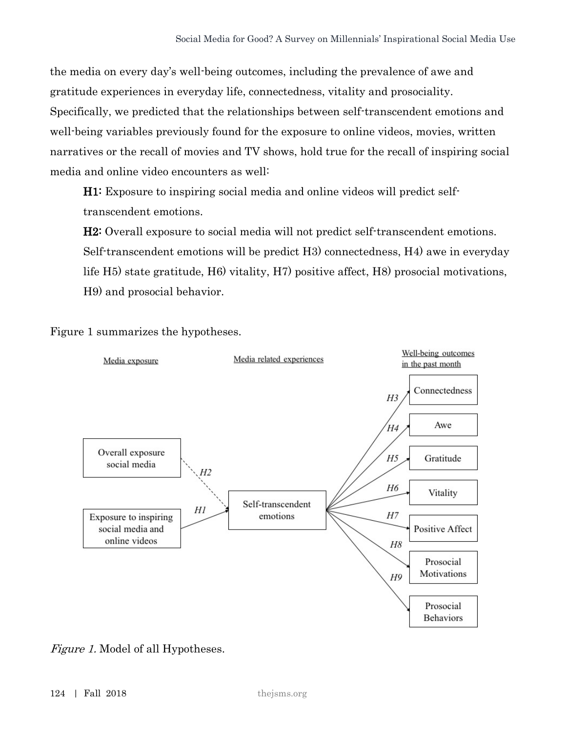the media on every day's well-being outcomes, including the prevalence of awe and gratitude experiences in everyday life, connectedness, vitality and prosociality. Specifically, we predicted that the relationships between self-transcendent emotions and well-being variables previously found for the exposure to online videos, movies, written narratives or the recall of movies and TV shows, hold true for the recall of inspiring social media and online video encounters as well:

H1: Exposure to inspiring social media and online videos will predict selftranscendent emotions.

H2: Overall exposure to social media will not predict self-transcendent emotions. Self-transcendent emotions will be predict H3) connectedness, H4) awe in everyday life H5) state gratitude, H6) vitality, H7) positive affect, H8) prosocial motivations, H9) and prosocial behavior.

Figure 1 summarizes the hypotheses.



Figure 1. Model of all Hypotheses.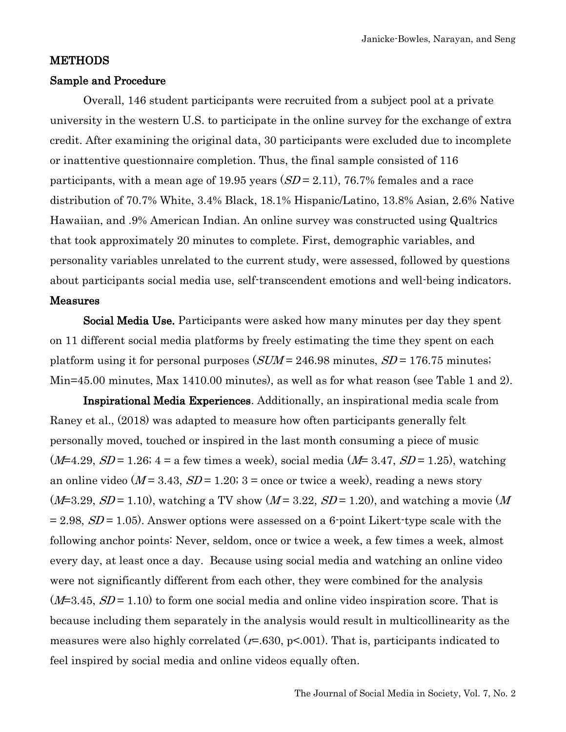#### METHODS

#### Sample and Procedure

Overall, 146 student participants were recruited from a subject pool at a private university in the western U.S. to participate in the online survey for the exchange of extra credit. After examining the original data, 30 participants were excluded due to incomplete or inattentive questionnaire completion. Thus, the final sample consisted of 116 participants, with a mean age of 19.95 years  $(SD = 2.11)$ , 76.7% females and a race distribution of 70.7% White, 3.4% Black, 18.1% Hispanic/Latino, 13.8% Asian, 2.6% Native Hawaiian, and .9% American Indian. An online survey was constructed using Qualtrics that took approximately 20 minutes to complete. First, demographic variables, and personality variables unrelated to the current study, were assessed, followed by questions about participants social media use, self-transcendent emotions and well-being indicators.

#### Measures

Social Media Use. Participants were asked how many minutes per day they spent on 11 different social media platforms by freely estimating the time they spent on each platform using it for personal purposes  $(SUM = 246.98 \text{ minutes}, SD = 176.75 \text{ minutes})$ Min=45.00 minutes, Max 1410.00 minutes), as well as for what reason (see Table 1 and 2).

Inspirational Media Experiences. Additionally, an inspirational media scale from Raney et al., (2018) was adapted to measure how often participants generally felt personally moved, touched or inspired in the last month consuming a piece of music  $(M=4.29, SD=1.26; 4=a$  few times a week), social media  $(M=3.47, SD=1.25)$ , watching an online video ( $M = 3.43$ ,  $SD = 1.20$ ; 3 = once or twice a week), reading a news story  $(M=3.29, SD=1.10)$ , watching a TV show  $(M=3.22, SD=1.20)$ , and watching a movie  $(M=3.29, SD=1.10)$  $= 2.98$ ,  $SD = 1.05$ ). Answer options were assessed on a 6-point Likert-type scale with the following anchor points: Never, seldom, once or twice a week, a few times a week, almost every day, at least once a day. Because using social media and watching an online video were not significantly different from each other, they were combined for the analysis  $(M=3.45, SD=1.10)$  to form one social media and online video inspiration score. That is because including them separately in the analysis would result in multicollinearity as the measures were also highly correlated  $(r=.630, p<.001)$ . That is, participants indicated to feel inspired by social media and online videos equally often.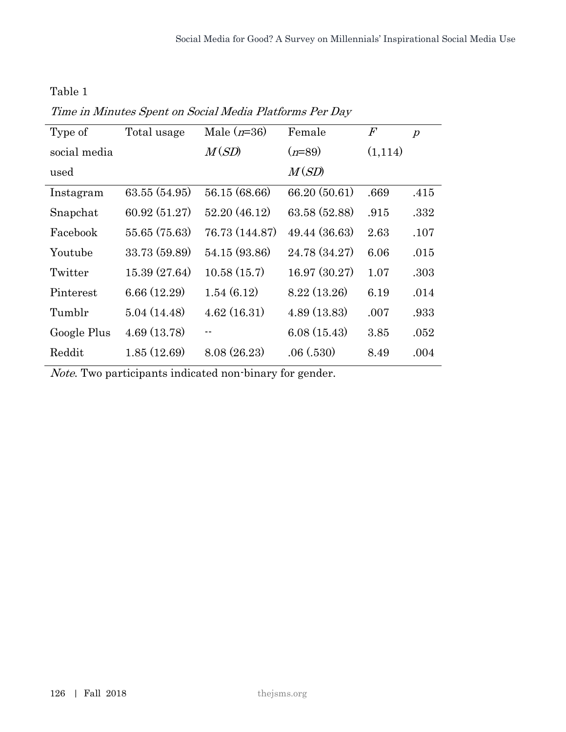Table 1

| Type of      | Total usage   | Male $(n=36)$  | Female        | $\mathcal{F}% _{0}$ | $\boldsymbol{p}$ |
|--------------|---------------|----------------|---------------|---------------------|------------------|
| social media |               | M(SD)          | $(n=89)$      | (1,114)             |                  |
| used         |               |                | M(SD)         |                     |                  |
| Instagram    | 63.55 (54.95) | 56.15 (68.66)  | 66.20 (50.61) | .669                | .415             |
| Snapchat     | 60.92(51.27)  | 52.20(46.12)   | 63.58 (52.88) | .915                | .332             |
| Facebook     | 55.65 (75.63) | 76.73 (144.87) | 49.44 (36.63) | 2.63                | .107             |
| Youtube      | 33.73 (59.89) | 54.15 (93.86)  | 24.78 (34.27) | 6.06                | .015             |
| Twitter      | 15.39 (27.64) | 10.58(15.7)    | 16.97(30.27)  | 1.07                | .303             |
| Pinterest    | 6.66(12.29)   | 1.54(6.12)     | 8.22(13.26)   | 6.19                | .014             |
| Tumblr       | 5.04(14.48)   | 4.62(16.31)    | 4.89(13.83)   | .007                | .933             |
| Google Plus  | 4.69(13.78)   | --             | 6.08(15.43)   | 3.85                | .052             |
| Reddit       | 1.85(12.69)   | 8.08(26.23)    | .06(.530)     | 8.49                | .004             |

Note. Two participants indicated non-binary for gender.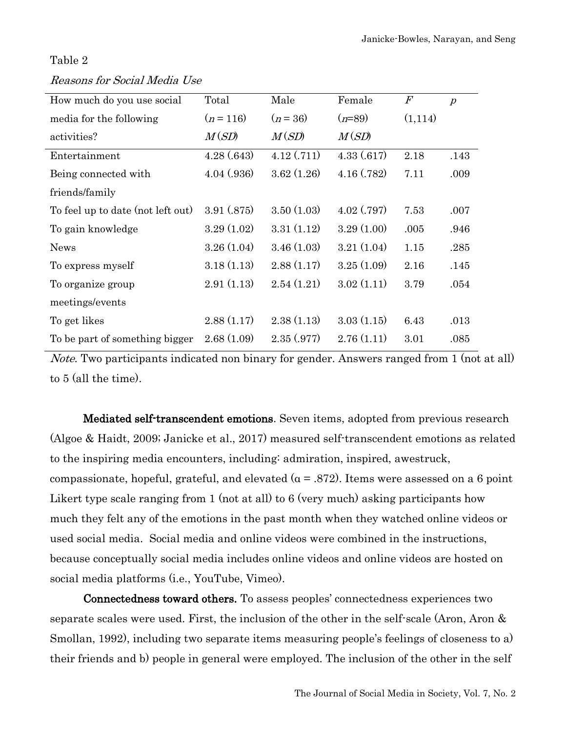#### Table 2

#### Reasons for Social Media Use

| How much do you use social        | Total      | Male       | Female     | $\boldsymbol{F}$ | $\boldsymbol{p}$ |
|-----------------------------------|------------|------------|------------|------------------|------------------|
| media for the following           | $(n=116)$  | $(n=36)$   | $(n=89)$   | (1,114)          |                  |
| activities?                       | M(SD)      | M(SD)      | M(SD)      |                  |                  |
| Entertainment                     | 4.28(.643) | 4.12(.711) | 4.33(.617) | 2.18             | .143             |
| Being connected with              | 4.04(.936) | 3.62(1.26) | 4.16(.782) | 7.11             | .009             |
| friends/family                    |            |            |            |                  |                  |
| To feel up to date (not left out) | 3.91(.875) | 3.50(1.03) | 4.02(.797) | 7.53             | .007             |
| To gain knowledge                 | 3.29(1.02) | 3.31(1.12) | 3.29(1.00) | .005             | .946             |
| <b>News</b>                       | 3.26(1.04) | 3.46(1.03) | 3.21(1.04) | 1.15             | .285             |
| To express myself                 | 3.18(1.13) | 2.88(1.17) | 3.25(1.09) | 2.16             | .145             |
| To organize group                 | 2.91(1.13) | 2.54(1.21) | 3.02(1.11) | 3.79             | .054             |
| meetings/events                   |            |            |            |                  |                  |
| To get likes                      | 2.88(1.17) | 2.38(1.13) | 3.03(1.15) | 6.43             | .013             |
| To be part of something bigger    | 2.68(1.09) | 2.35(.977) | 2.76(1.11) | 3.01             | .085             |

Note. Two participants indicated non binary for gender. Answers ranged from 1 (not at all) to 5 (all the time).

Mediated self-transcendent emotions. Seven items, adopted from previous research (Algoe & Haidt, 2009; Janicke et al., 2017) measured self-transcendent emotions as related to the inspiring media encounters, including: admiration, inspired, awestruck, compassionate, hopeful, grateful, and elevated ( $\alpha$  = .872). Items were assessed on a 6 point Likert type scale ranging from 1 (not at all) to 6 (very much) asking participants how much they felt any of the emotions in the past month when they watched online videos or used social media. Social media and online videos were combined in the instructions, because conceptually social media includes online videos and online videos are hosted on social media platforms (i.e., YouTube, Vimeo).

Connectedness toward others. To assess peoples' connectedness experiences two separate scales were used. First, the inclusion of the other in the self-scale (Aron, Aron & Smollan, 1992), including two separate items measuring people's feelings of closeness to a) their friends and b) people in general were employed. The inclusion of the other in the self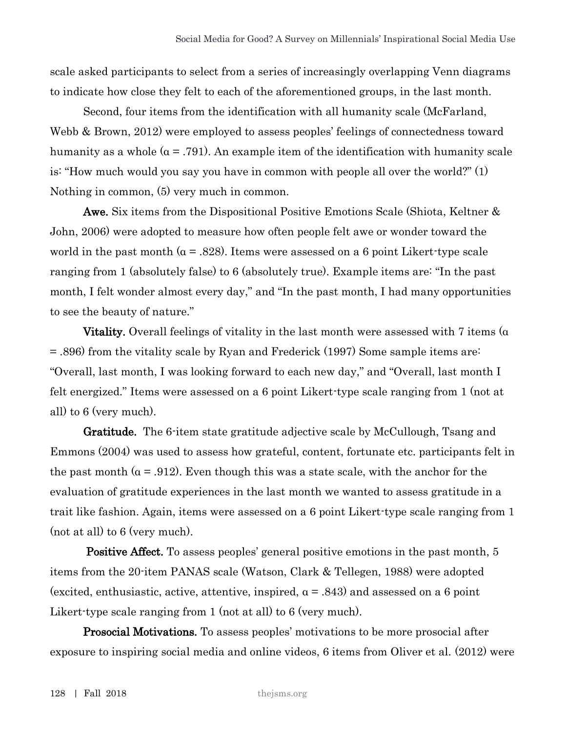scale asked participants to select from a series of increasingly overlapping Venn diagrams to indicate how close they felt to each of the aforementioned groups, in the last month.

Second, four items from the identification with all humanity scale (McFarland, Webb & Brown, 2012) were employed to assess peoples' feelings of connectedness toward humanity as a whole  $(a = .791)$ . An example item of the identification with humanity scale is: "How much would you say you have in common with people all over the world?" (1) Nothing in common, (5) very much in common.

Awe. Six items from the Dispositional Positive Emotions Scale (Shiota, Keltner & John, 2006) were adopted to measure how often people felt awe or wonder toward the world in the past month ( $\alpha$  = .828). Items were assessed on a 6 point Likert-type scale ranging from 1 (absolutely false) to 6 (absolutely true). Example items are: "In the past month, I felt wonder almost every day," and "In the past month, I had many opportunities to see the beauty of nature."

**Vitality.** Overall feelings of vitality in the last month were assessed with 7 items ( $\alpha$ ) = .896) from the vitality scale by Ryan and Frederick (1997) Some sample items are: "Overall, last month, I was looking forward to each new day," and "Overall, last month I felt energized." Items were assessed on a 6 point Likert-type scale ranging from 1 (not at all) to 6 (very much).

Gratitude. The 6-item state gratitude adjective scale by McCullough, Tsang and Emmons (2004) was used to assess how grateful, content, fortunate etc. participants felt in the past month ( $\alpha$  = .912). Even though this was a state scale, with the anchor for the evaluation of gratitude experiences in the last month we wanted to assess gratitude in a trait like fashion. Again, items were assessed on a 6 point Likert-type scale ranging from 1 (not at all) to 6 (very much).

Positive Affect. To assess peoples' general positive emotions in the past month, 5 items from the 20-item PANAS scale (Watson, Clark & Tellegen, 1988) were adopted (excited, enthusiastic, active, attentive, inspired,  $\alpha$  = .843) and assessed on a 6 point Likert-type scale ranging from 1 (not at all) to 6 (very much).

Prosocial Motivations. To assess peoples' motivations to be more prosocial after exposure to inspiring social media and online videos, 6 items from Oliver et al. (2012) were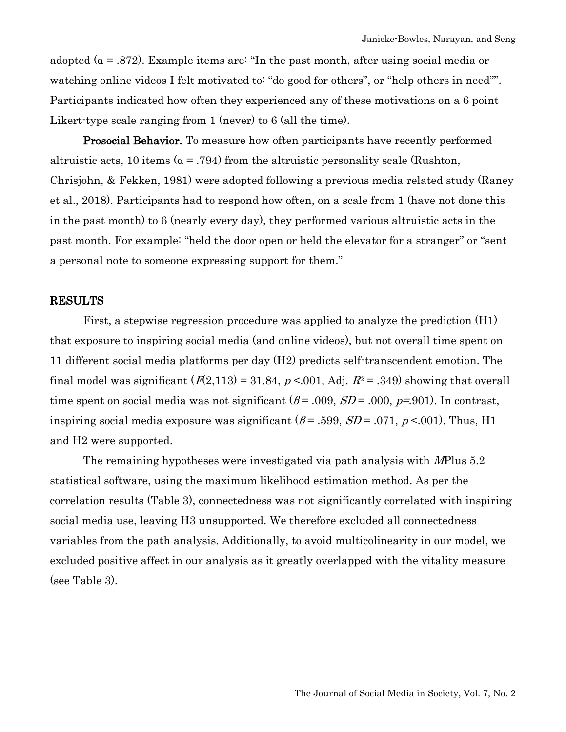adopted ( $\alpha$  = .872). Example items are: "In the past month, after using social media or watching online videos I felt motivated to: "do good for others", or "help others in need"". Participants indicated how often they experienced any of these motivations on a 6 point Likert-type scale ranging from 1 (never) to 6 (all the time).

**Prosocial Behavior.** To measure how often participants have recently performed altruistic acts, 10 items ( $\alpha$  = .794) from the altruistic personality scale (Rushton, Chrisjohn, & Fekken, 1981) were adopted following a previous media related study (Raney et al., 2018). Participants had to respond how often, on a scale from 1 (have not done this in the past month) to 6 (nearly every day), they performed various altruistic acts in the past month. For example: "held the door open or held the elevator for a stranger" or "sent a personal note to someone expressing support for them."

#### RESULTS

First, a stepwise regression procedure was applied to analyze the prediction (H1) that exposure to inspiring social media (and online videos), but not overall time spent on 11 different social media platforms per day (H2) predicts self-transcendent emotion. The final model was significant  $(F(2,113) = 31.84, p < .001,$  Adj.  $R^2 = .349$ ) showing that overall time spent on social media was not significant  $(\beta = .009, SD = .000, p = .901)$ . In contrast, inspiring social media exposure was significant  $(\beta = .599, SD = .071, p < .001)$ . Thus, H<sub>1</sub> and H2 were supported.

The remaining hypotheses were investigated via path analysis with MPlus 5.2 statistical software, using the maximum likelihood estimation method. As per the correlation results (Table 3), connectedness was not significantly correlated with inspiring social media use, leaving H3 unsupported. We therefore excluded all connectedness variables from the path analysis. Additionally, to avoid multicolinearity in our model, we excluded positive affect in our analysis as it greatly overlapped with the vitality measure (see Table 3).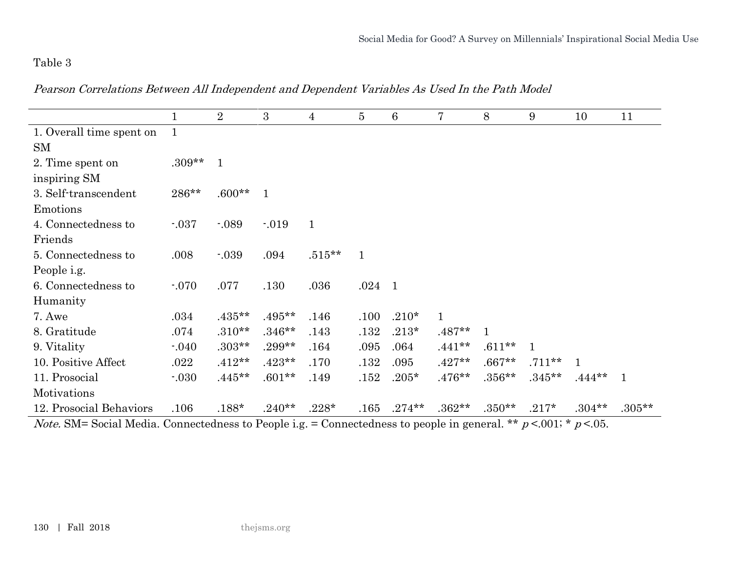# Table 3

Pearson Correlations Between All Independent and Dependent Variables As Used In the Path Model

|                          | $\mathbf 1$  | $\overline{2}$ | $\overline{3}$ | $\overline{4}$ | $\overline{5}$ | 6         | 7            | 8            | 9           | 10       | 11           |
|--------------------------|--------------|----------------|----------------|----------------|----------------|-----------|--------------|--------------|-------------|----------|--------------|
| 1. Overall time spent on | $\mathbf{1}$ |                |                |                |                |           |              |              |             |          |              |
| <b>SM</b>                |              |                |                |                |                |           |              |              |             |          |              |
| 2. Time spent on         | $.309**$     | $\mathbf{1}$   |                |                |                |           |              |              |             |          |              |
| inspiring SM             |              |                |                |                |                |           |              |              |             |          |              |
| 3. Self-transcendent     | 286**        | $.600**$       | $\mathbf{1}$   |                |                |           |              |              |             |          |              |
| Emotions                 |              |                |                |                |                |           |              |              |             |          |              |
| 4. Connectedness to      | $-0.37$      | $-0.89$        | $-019$         | $\mathbf{1}$   |                |           |              |              |             |          |              |
| Friends                  |              |                |                |                |                |           |              |              |             |          |              |
| 5. Connectedness to      | .008         | $-0.39$        | .094           | $.515**$       | $\mathbf{1}$   |           |              |              |             |          |              |
| People i.g.              |              |                |                |                |                |           |              |              |             |          |              |
| 6. Connectedness to      | $-070$       | .077           | .130           | .036           | $.024$ 1       |           |              |              |             |          |              |
| Humanity                 |              |                |                |                |                |           |              |              |             |          |              |
| 7. Awe                   | .034         | $.435***$      | $.495**$       | .146           | .100           | $.210*$   | $\mathbf{1}$ |              |             |          |              |
| 8. Gratitude             | .074         | $.310**$       | $.346**$       | .143           | .132           | $.213*$   | $.487**$     | $\mathbf{1}$ |             |          |              |
| 9. Vitality              | $-040$       | $.303**$       | $.299**$       | .164           | .095           | .064      | $.441**$     | $.611**$     | $\mathbf 1$ |          |              |
| 10. Positive Affect      | .022         | $.412**$       | $.423**$       | .170           | .132           | .095      | $.427**$     | $.667**$     | $.711***$   |          |              |
| 11. Prosocial            | $-030$       | $.445**$       | $.601**$       | .149           | .152           | $.205*$   | $.476**$     | $.356***$    | $.345**$    | $.444**$ | $\mathbf{1}$ |
| Motivations              |              |                |                |                |                |           |              |              |             |          |              |
| 12. Prosocial Behaviors  | .106         | $.188*$        | $.240**$       | $.228*$        | .165           | $.274***$ | $.362**$     | $.350**$     | $.217*$     | $.304**$ | $.305**$     |

*Note.* SM= Social Media. Connectedness to People i.g. = Connectedness to people in general. \*\*  $p < .001$ ; \*  $p < .05$ .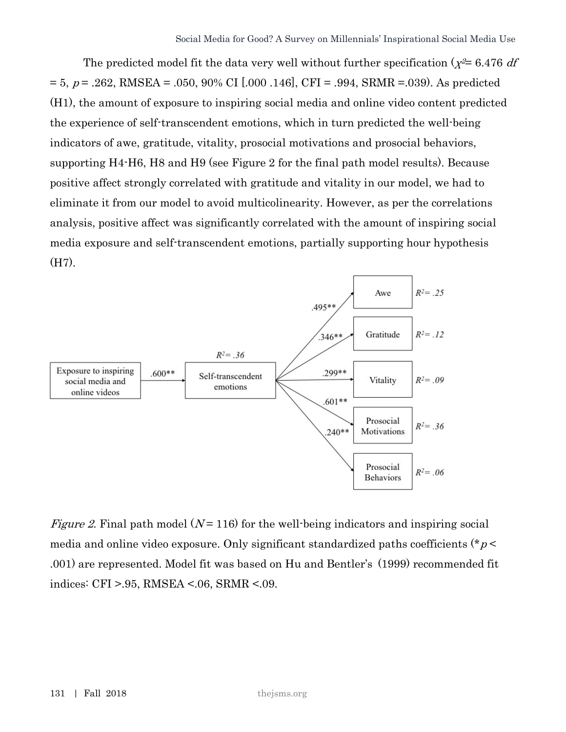The predicted model fit the data very well without further specification ( $\chi^2$ = 6.476 df  $= 5, p = .262, RMSEA = .050, 90\% \text{ CI}$  [.000 .146], CFI = .994, SRMR =.039). As predicted (H1), the amount of exposure to inspiring social media and online video content predicted the experience of self-transcendent emotions, which in turn predicted the well-being indicators of awe, gratitude, vitality, prosocial motivations and prosocial behaviors, supporting H4-H6, H8 and H9 (see Figure 2 for the final path model results). Because positive affect strongly correlated with gratitude and vitality in our model, we had to eliminate it from our model to avoid multicolinearity. However, as per the correlations analysis, positive affect was significantly correlated with the amount of inspiring social media exposure and self-transcendent emotions, partially supporting hour hypothesis (H7).



*Figure 2.* Final path model  $(N=116)$  for the well-being indicators and inspiring social media and online video exposure. Only significant standardized paths coefficients ( $p$  < .001) are represented. Model fit was based on Hu and Bentler's (1999) recommended fit indices: CFI >.95, RMSEA <.06, SRMR <.09.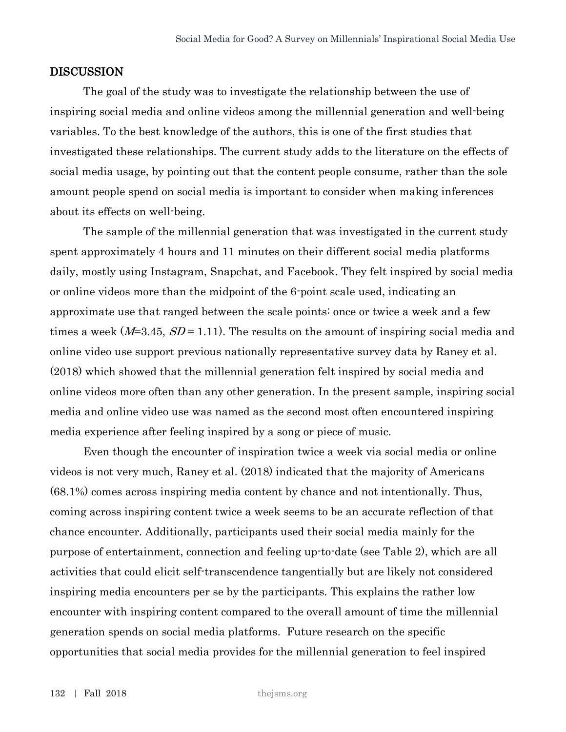#### DISCUSSION

The goal of the study was to investigate the relationship between the use of inspiring social media and online videos among the millennial generation and well-being variables. To the best knowledge of the authors, this is one of the first studies that investigated these relationships. The current study adds to the literature on the effects of social media usage, by pointing out that the content people consume, rather than the sole amount people spend on social media is important to consider when making inferences about its effects on well-being.

The sample of the millennial generation that was investigated in the current study spent approximately 4 hours and 11 minutes on their different social media platforms daily, mostly using Instagram, Snapchat, and Facebook. They felt inspired by social media or online videos more than the midpoint of the 6-point scale used, indicating an approximate use that ranged between the scale points: once or twice a week and a few times a week  $(M=3.45, SD=1.11)$ . The results on the amount of inspiring social media and online video use support previous nationally representative survey data by Raney et al. (2018) which showed that the millennial generation felt inspired by social media and online videos more often than any other generation. In the present sample, inspiring social media and online video use was named as the second most often encountered inspiring media experience after feeling inspired by a song or piece of music.

Even though the encounter of inspiration twice a week via social media or online videos is not very much, Raney et al. (2018) indicated that the majority of Americans (68.1%) comes across inspiring media content by chance and not intentionally. Thus, coming across inspiring content twice a week seems to be an accurate reflection of that chance encounter. Additionally, participants used their social media mainly for the purpose of entertainment, connection and feeling up-to-date (see Table 2), which are all activities that could elicit self-transcendence tangentially but are likely not considered inspiring media encounters per se by the participants. This explains the rather low encounter with inspiring content compared to the overall amount of time the millennial generation spends on social media platforms. Future research on the specific opportunities that social media provides for the millennial generation to feel inspired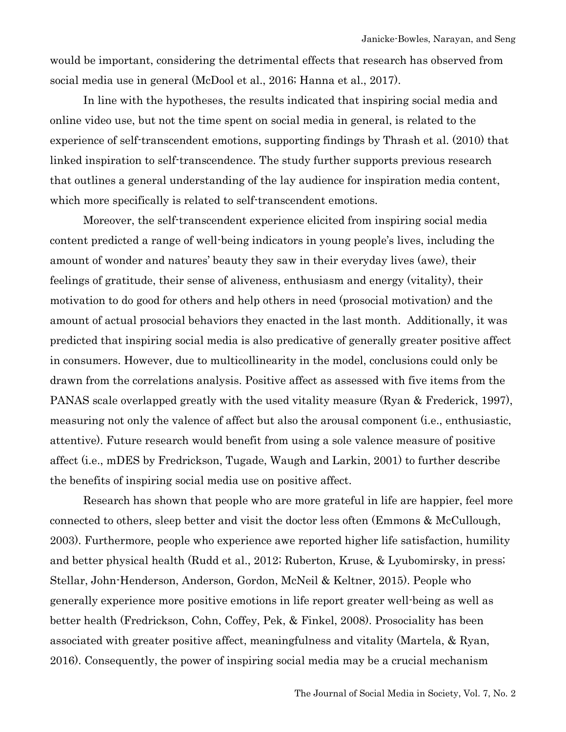would be important, considering the detrimental effects that research has observed from social media use in general (McDool et al., 2016; Hanna et al., 2017).

In line with the hypotheses, the results indicated that inspiring social media and online video use, but not the time spent on social media in general, is related to the experience of self-transcendent emotions, supporting findings by Thrash et al. (2010) that linked inspiration to self-transcendence. The study further supports previous research that outlines a general understanding of the lay audience for inspiration media content, which more specifically is related to self-transcendent emotions.

Moreover, the self-transcendent experience elicited from inspiring social media content predicted a range of well-being indicators in young people's lives, including the amount of wonder and natures' beauty they saw in their everyday lives (awe), their feelings of gratitude, their sense of aliveness, enthusiasm and energy (vitality), their motivation to do good for others and help others in need (prosocial motivation) and the amount of actual prosocial behaviors they enacted in the last month. Additionally, it was predicted that inspiring social media is also predicative of generally greater positive affect in consumers. However, due to multicollinearity in the model, conclusions could only be drawn from the correlations analysis. Positive affect as assessed with five items from the PANAS scale overlapped greatly with the used vitality measure (Ryan & Frederick, 1997), measuring not only the valence of affect but also the arousal component (i.e., enthusiastic, attentive). Future research would benefit from using a sole valence measure of positive affect (i.e., mDES by Fredrickson, Tugade, Waugh and Larkin, 2001) to further describe the benefits of inspiring social media use on positive affect.

Research has shown that people who are more grateful in life are happier, feel more connected to others, sleep better and visit the doctor less often (Emmons & McCullough, 2003). Furthermore, people who experience awe reported higher life satisfaction, humility and better physical health (Rudd et al., 2012; Ruberton, Kruse, & Lyubomirsky, in press; Stellar, John-Henderson, Anderson, Gordon, McNeil & Keltner, 2015). People who generally experience more positive emotions in life report greater well-being as well as better health (Fredrickson, Cohn, Coffey, Pek, & Finkel, 2008). Prosociality has been associated with greater positive affect, meaningfulness and vitality (Martela, & Ryan, 2016). Consequently, the power of inspiring social media may be a crucial mechanism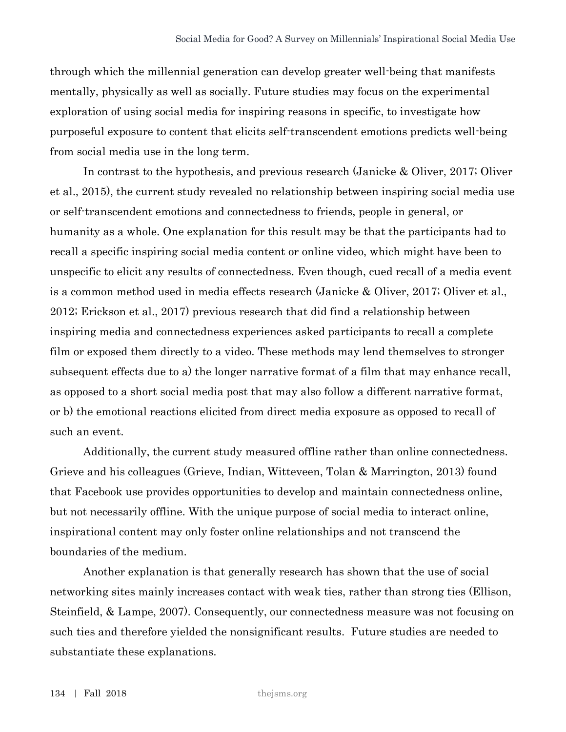through which the millennial generation can develop greater well-being that manifests mentally, physically as well as socially. Future studies may focus on the experimental exploration of using social media for inspiring reasons in specific, to investigate how purposeful exposure to content that elicits self-transcendent emotions predicts well-being from social media use in the long term.

In contrast to the hypothesis, and previous research (Janicke & Oliver, 2017; Oliver et al., 2015), the current study revealed no relationship between inspiring social media use or self-transcendent emotions and connectedness to friends, people in general, or humanity as a whole. One explanation for this result may be that the participants had to recall a specific inspiring social media content or online video, which might have been to unspecific to elicit any results of connectedness. Even though, cued recall of a media event is a common method used in media effects research (Janicke & Oliver, 2017; Oliver et al., 2012; Erickson et al., 2017) previous research that did find a relationship between inspiring media and connectedness experiences asked participants to recall a complete film or exposed them directly to a video. These methods may lend themselves to stronger subsequent effects due to a) the longer narrative format of a film that may enhance recall, as opposed to a short social media post that may also follow a different narrative format, or b) the emotional reactions elicited from direct media exposure as opposed to recall of such an event.

Additionally, the current study measured offline rather than online connectedness. Grieve and his colleagues (Grieve, Indian, Witteveen, Tolan & Marrington, 2013) found that Facebook use provides opportunities to develop and maintain connectedness online, but not necessarily offline. With the unique purpose of social media to interact online, inspirational content may only foster online relationships and not transcend the boundaries of the medium.

Another explanation is that generally research has shown that the use of social networking sites mainly increases contact with weak ties, rather than strong ties (Ellison, Steinfield, & Lampe, 2007). Consequently, our connectedness measure was not focusing on such ties and therefore yielded the nonsignificant results. Future studies are needed to substantiate these explanations.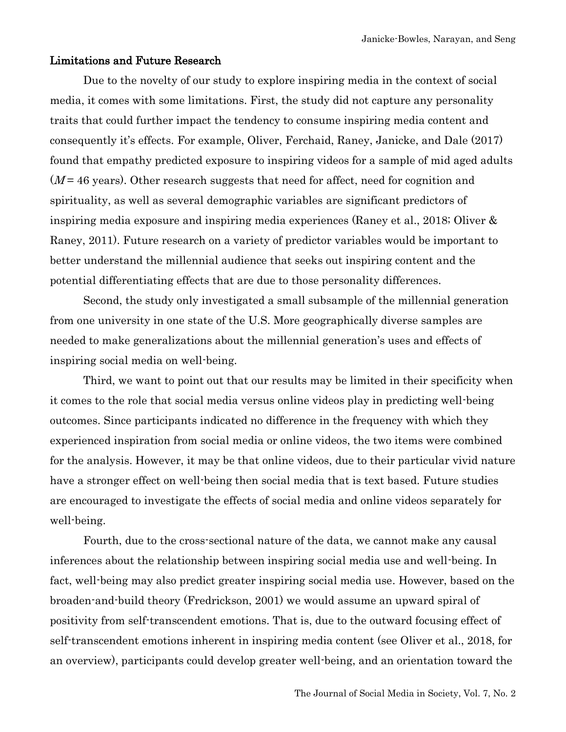#### Limitations and Future Research

Due to the novelty of our study to explore inspiring media in the context of social media, it comes with some limitations. First, the study did not capture any personality traits that could further impact the tendency to consume inspiring media content and consequently it's effects. For example, Oliver, Ferchaid, Raney, Janicke, and Dale (2017) found that empathy predicted exposure to inspiring videos for a sample of mid aged adults  $(M = 46$  years). Other research suggests that need for affect, need for cognition and spirituality, as well as several demographic variables are significant predictors of inspiring media exposure and inspiring media experiences (Raney et al., 2018; Oliver & Raney, 2011). Future research on a variety of predictor variables would be important to better understand the millennial audience that seeks out inspiring content and the potential differentiating effects that are due to those personality differences.

Second, the study only investigated a small subsample of the millennial generation from one university in one state of the U.S. More geographically diverse samples are needed to make generalizations about the millennial generation's uses and effects of inspiring social media on well-being.

Third, we want to point out that our results may be limited in their specificity when it comes to the role that social media versus online videos play in predicting well-being outcomes. Since participants indicated no difference in the frequency with which they experienced inspiration from social media or online videos, the two items were combined for the analysis. However, it may be that online videos, due to their particular vivid nature have a stronger effect on well-being then social media that is text based. Future studies are encouraged to investigate the effects of social media and online videos separately for well-being.

Fourth, due to the cross-sectional nature of the data, we cannot make any causal inferences about the relationship between inspiring social media use and well-being. In fact, well-being may also predict greater inspiring social media use. However, based on the broaden-and-build theory (Fredrickson, 2001) we would assume an upward spiral of positivity from self-transcendent emotions. That is, due to the outward focusing effect of self-transcendent emotions inherent in inspiring media content (see Oliver et al., 2018, for an overview), participants could develop greater well-being, and an orientation toward the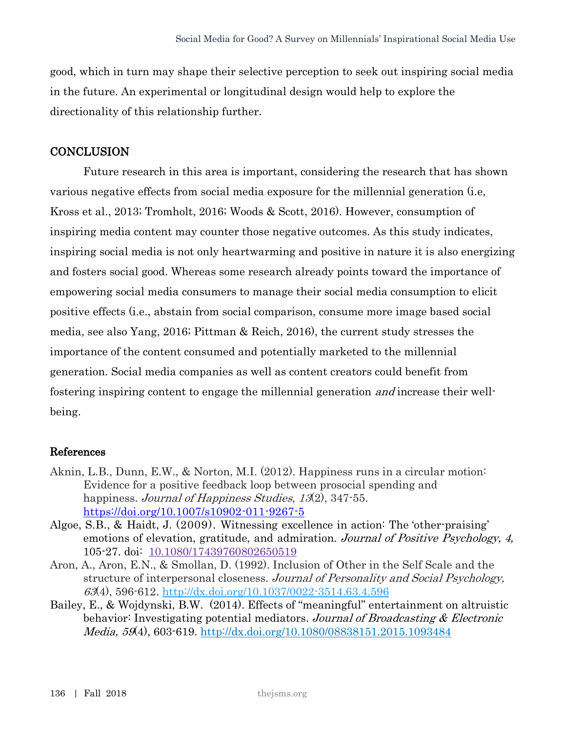good, which in turn may shape their selective perception to seek out inspiring social media in the future. An experimental or longitudinal design would help to explore the directionality of this relationship further.

## **CONCLUSION**

Future research in this area is important, considering the research that has shown various negative effects from social media exposure for the millennial generation (i.e, Kross et al., 2013; Tromholt, 2016; Woods & Scott, 2016). However, consumption of inspiring media content may counter those negative outcomes. As this study indicates, inspiring social media is not only heartwarming and positive in nature it is also energizing and fosters social good. Whereas some research already points toward the importance of empowering social media consumers to manage their social media consumption to elicit positive effects (i.e., abstain from social comparison, consume more image based social media, see also Yang, 2016; Pittman & Reich, 2016), the current study stresses the importance of the content consumed and potentially marketed to the millennial generation. Social media companies as well as content creators could benefit from fostering inspiring content to engage the millennial generation and increase their wellbeing.

### References

- Aknin, L.B., Dunn, E.W., & Norton, M.I. (2012). Happiness runs in a circular motion: Evidence for a positive feedback loop between prosocial spending and happiness. Journal of Happiness Studies, 13(2), 347-55. <https://doi.org/10.1007/s10902-011-9267-5>
- Algoe, S.B., & Haidt, J. (2009). Witnessing excellence in action: The 'other-praising' emotions of elevation, gratitude, and admiration. Journal of Positive Psychology, 4, 105-27. doi: [10.1080/17439760802650519](https://dx.doi.org/10.1080%2F17439760802650519)
- Aron, A., Aron, E.N., & Smollan, D. (1992). Inclusion of Other in the Self Scale and the structure of interpersonal closeness. Journal of Personality and Social Psychology, 63(4), 596-612. [http://dx.doi.org/10.1037/0022-3514.63.4.596](http://psycnet.apa.org/doi/10.1037/0022-3514.63.4.596)
- Bailey, E., & Wojdynski, B.W. (2014). Effects of "meaningful" entertainment on altruistic behavior: Investigating potential mediators. Journal of Broadcasting & Electronic Media, 59(4), 603-619.<http://dx.doi.org/10.1080/08838151.2015.1093484>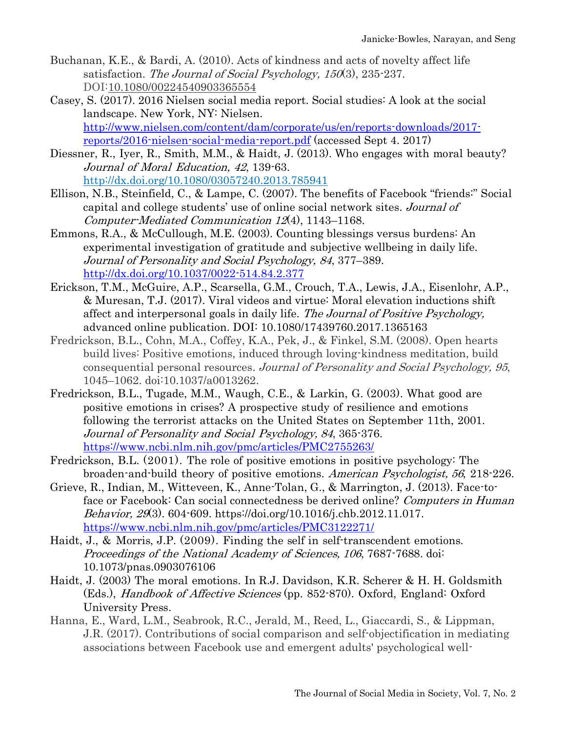- Buchanan, K.E., & Bardi, A. (2010). Acts of kindness and acts of novelty affect life satisfaction. The Journal of Social Psychology, 150(3), 235-237. DOI[:10.1080/00224540903365554](https://doi.org/10.1080/00224540903365554)
- Casey, S. (2017). 2016 Nielsen social media report. Social studies: A look at the social landscape. New York, NY: Nielsen. [http://www.nielsen.com/content/dam/corporate/us/en/reports-downloads/2017](http://www.nielsen.com/content/dam/corporate/us/en/reports-downloads/2017-reports/2016-nielsen-social-media-report.pdf) [reports/2016-nielsen-social-media-report.pdf](http://www.nielsen.com/content/dam/corporate/us/en/reports-downloads/2017-reports/2016-nielsen-social-media-report.pdf) (accessed Sept 4. 2017)
- Diessner, R., Iyer, R., Smith, M.M., & Haidt, J. (2013). Who engages with moral beauty? Journal of Moral Education, 42, 139-63. <http://dx.doi.org/10.1080/03057240.2013.785941>
- Ellison, N.B., Steinfield, C., & Lampe, C. (2007). The benefits of Facebook "friends:" Social capital and college students' use of online social network sites. Journal of Computer-Mediated Communication 12(4), 1143–1168.
- Emmons, R.A., & McCullough, M.E. (2003). Counting blessings versus burdens: An experimental investigation of gratitude and subjective wellbeing in daily life. Journal of Personality and Social Psychology, 84, 377–389. [http://dx.doi.org/10.1037/0022-514.84.2.377](http://dx.doi.org/10.1037/0022-3514.84.2.377)
- Erickson, T.M., McGuire, A.P., Scarsella, G.M., Crouch, T.A., Lewis, J.A., Eisenlohr, A.P., & Muresan, T.J. (2017). Viral videos and virtue: Moral elevation inductions shift affect and interpersonal goals in daily life. The Journal of Positive Psychology, advanced online publication. DOI: 10.1080/17439760.2017.1365163
- Fredrickson, B.L., Cohn, M.A., Coffey, K.A., Pek, J., & Finkel, S.M. (2008). Open hearts build lives: Positive emotions, induced through loving-kindness meditation, build consequential personal resources. Journal of Personality and Social Psychology, 95, 1045–1062. doi:10.1037/a0013262.
- Fredrickson, B.L., Tugade, M.M., Waugh, C.E., & Larkin, G. (2003). What good are positive emotions in crises? A prospective study of resilience and emotions following the terrorist attacks on the United States on September 11th, 2001. Journal of Personality and Social Psychology, 84, 365-376. <https://www.ncbi.nlm.nih.gov/pmc/articles/PMC2755263/>
- Fredrickson, B.L. (2001). The role of positive emotions in positive psychology: The broaden-and-build theory of positive emotions. American Psychologist, 56, 218-226.
- Grieve, R., Indian, M., Witteveen, K., Anne-Tolan, G., & Marrington, J. (2013). Face-toface or Facebook: Can social connectedness be derived online? Computers in Human Behavior, 29(3). 604-609. [https://doi.org/10.1016/j.chb.2012.11.017.](https://doi.org/10.1016/j.chb.2012.11.017) <https://www.ncbi.nlm.nih.gov/pmc/articles/PMC3122271/>
- Haidt, J., & Morris, J.P. (2009). Finding the self in self-transcendent emotions. Proceedings of the National Academy of Sciences, 106, 7687-7688. doi: 10.1073/pnas.0903076106
- Haidt, J. (2003) The moral emotions. In R.J. Davidson, K.R. Scherer & H. H. Goldsmith (Eds.), Handbook of Affective Sciences (pp. 852-870). Oxford, England: Oxford University Press.
- Hanna, E., Ward, L.M., Seabrook, R.C., Jerald, M., Reed, L., Giaccardi, S., & Lippman, J.R. (2017). Contributions of social comparison and self-objectification in mediating associations between Facebook use and emergent adults' psychological well-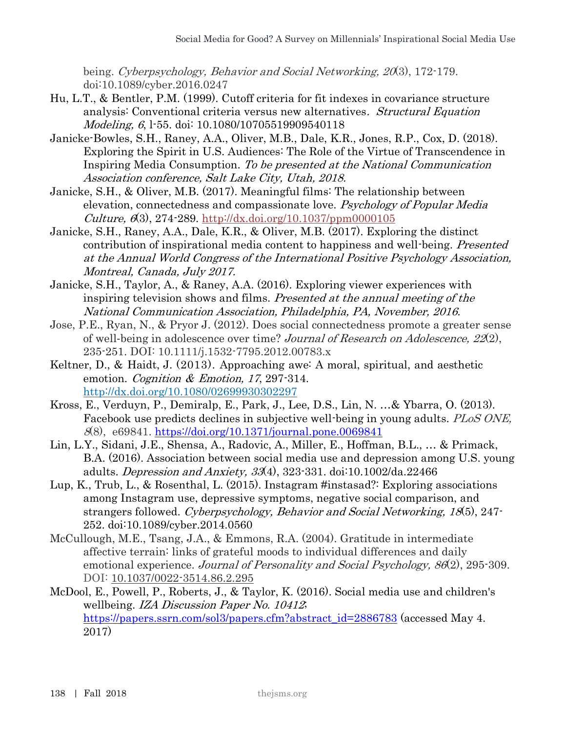being. Cyberpsychology, Behavior and Social Networking, <sup>20</sup>(3), 172-179. doi:10.1089/cyber.2016.0247

- Hu, L.T., & Bentler, P.M. (1999). Cutoff criteria for fit indexes in covariance structure analysis: Conventional criteria versus new alternatives. Structural Equation Modeling, 6, 1-55. doi: 10.1080/10705519909540118
- Janicke-Bowles, S.H., Raney, A.A., Oliver, M.B., Dale, K.R., Jones, R.P., Cox, D. (2018). Exploring the Spirit in U.S. Audiences: The Role of the Virtue of Transcendence in Inspiring Media Consumption. To be presented at the National Communication Association conference, Salt Lake City, Utah, 2018.
- Janicke, S.H., & Oliver, M.B. (2017). Meaningful films: The relationship between elevation, connectedness and compassionate love. Psychology of Popular Media  $Culture, 6(3), 274-289. <http://dx.doi.org/10.1037/ppm0000105>$
- Janicke, S.H., Raney, A.A., Dale, K.R., & Oliver, M.B. (2017). Exploring the distinct contribution of inspirational media content to happiness and well-being. Presented at the Annual World Congress of the International Positive Psychology Association, Montreal, Canada, July 2017.
- Janicke, S.H., Taylor, A., & Raney, A.A. (2016). Exploring viewer experiences with inspiring television shows and films. Presented at the annual meeting of the National Communication Association, Philadelphia, PA, November, 2016.
- Jose, P.E., Ryan, N., & Pryor J. (2012). Does social connectedness promote a greater sense of well-being in adolescence over time? Journal of Research on Adolescence, 22(2), 235-251. DOI: 10.1111/j.1532-7795.2012.00783.x
- Keltner, D., & Haidt, J. (2013). Approaching awe: A moral, spiritual, and aesthetic emotion. *Cognition & Emotion*, 17, 297-314. <http://dx.doi.org/10.1080/02699930302297>
- Kross, E., Verduyn, P., Demiralp, E., Park, J., Lee, D.S., Lin, N. …& Ybarra, O. (2013). Facebook use predicts declines in subjective well-being in young adults. PLoS ONE, 8(8), e69841.<https://doi.org/10.1371/journal.pone.0069841>
- Lin, L.Y., Sidani, J.E., Shensa, A., Radovic, A., Miller, E., Hoffman, B.L., … & Primack, B.A. (2016). Association between social media use and depression among U.S. young adults. Depression and Anxiety,  $33(4)$ ,  $323-331$ . doi:10.1002/da.22466
- Lup, K., Trub, L., & Rosenthal, L. (2015). Instagram #instasad?: Exploring associations among Instagram use, depressive symptoms, negative social comparison, and strangers followed. Cyberpsychology, Behavior and Social Networking, 18(5), 247- 252. doi:10.1089/cyber.2014.0560
- McCullough, M.E., Tsang, J.A., & Emmons, R.A. (2004). Gratitude in intermediate affective terrain: links of grateful moods to individual differences and daily emotional experience. Journal of Personality and Social Psychology, 86(2), 295-309. DOI: [10.1037/0022-3514.86.2.295](https://doi.org/10.1037/0022-3514.86.2.295)
- McDool, E., Powell, P., Roberts, J., & Taylor, K. (2016). Social media use and children's wellbeing. IZA Discussion Paper No. 10412; [https://papers.ssrn.com/sol3/papers.cfm?abstract\\_id=2886783](https://papers.ssrn.com/sol3/papers.cfm?abstract_id=2886783) (accessed May 4. 2017)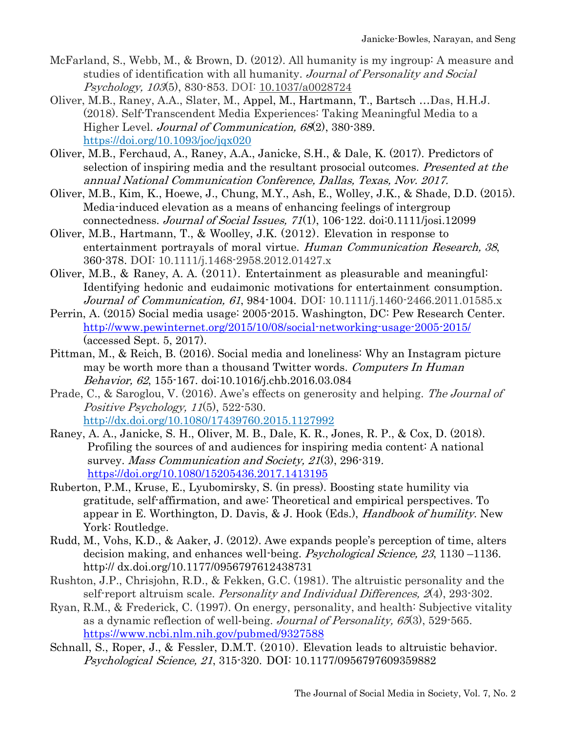- McFarland, S., Webb, M., & Brown, D. (2012). All humanity is my ingroup: A measure and studies of identification with all humanity. Journal of Personality and Social Psychology, 103(5), 830-853. DOI: [10.1037/a0028724](https://doi.org/10.1037/a0028724)
- Oliver, M.B., Raney, A.A., Slater, M., Appel, M., Hartmann, T., Bartsch …Das, H.H.J. (2018). Self-Transcendent Media Experiences: Taking Meaningful Media to a Higher Level. *Journal of Communication*, 68(2), 380-389. <https://doi.org/10.1093/joc/jqx020>
- Oliver, M.B., Ferchaud, A., Raney, A.A., Janicke, S.H., & Dale, K. (2017). Predictors of selection of inspiring media and the resultant prosocial outcomes. Presented at the annual National Communication Conference, Dallas, Texas, Nov. 2017.
- Oliver, M.B., Kim, K., Hoewe, J., Chung, M.Y., Ash, E., Wolley, J.K., & Shade, D.D. (2015). Media-induced elevation as a means of enhancing feelings of intergroup connectedness. Journal of Social Issues,  $71(1)$ ,  $106-122$ . doi: $0.1111/j$ osi.12099
- Oliver, M.B., Hartmann, T., & Woolley, J.K. (2012). Elevation in response to entertainment portrayals of moral virtue. Human Communication Research, 38, 360-378. DOI: 10.1111/j.1468-2958.2012.01427.x
- Oliver, M.B., & Raney, A. A. (2011). Entertainment as pleasurable and meaningful: Identifying hedonic and eudaimonic motivations for entertainment consumption. Journal of Communication, 61, 984-1004. DOI: 10.1111/j.1460-2466.2011.01585.x
- Perrin, A. (2015) Social media usage: 2005-2015. Washington, DC: Pew Research Center. <http://www.pewinternet.org/2015/10/08/social-networking-usage-2005-2015/> (accessed Sept. 5, 2017).
- Pittman, M., & Reich, B. (2016). Social media and loneliness: Why an Instagram picture may be worth more than a thousand Twitter words. Computers In Human Behavior, 62, 155-167. doi:10.1016/j.chb.2016.03.084
- Prade, C., & Saroglou, V. (2016). Awe's effects on generosity and helping. The Journal of Positive Psychology, 11(5), 522-530. <http://dx.doi.org/10.1080/17439760.2015.1127992>
- Raney, A. A., Janicke, S. H., Oliver, M. B., Dale, K. R., Jones, R. P., & Cox, D. (2018). Profiling the sources of and audiences for inspiring media content: A national survey. Mass Communication and Society, 21(3), 296-319. <https://doi.org/10.1080/15205436.2017.1413195>
- Ruberton, P.M., Kruse, E., Lyubomirsky, S. (in press). Boosting state humility via gratitude, self-affirmation, and awe: Theoretical and empirical perspectives. To appear in E. Worthington, D. Davis, & J. Hook (Eds.), Handbook of humility. New York: Routledge.
- Rudd, M., Vohs, K.D., & Aaker, J. (2012). Awe expands people's perception of time, alters decision making, and enhances well-being. *Psychological Science*, 23, 1130 –1136. http:// dx.doi.org/10.1177/0956797612438731
- Rushton, J.P., Chrisjohn, R.D., & Fekken, G.C. (1981). The altruistic personality and the self-report altruism scale. *Personality and Individual Differences*, 2(4), 293-302.
- Ryan, R.M., & Frederick, C. (1997). On energy, personality, and health: Subjective vitality as a dynamic reflection of well-being. Journal of Personality, 65(3), 529-565. <https://www.ncbi.nlm.nih.gov/pubmed/9327588>
- Schnall, S., Roper, J., & Fessler, D.M.T. (2010). Elevation leads to altruistic behavior. Psychological Science, 21, 315-320. DOI: 10.1177/0956797609359882